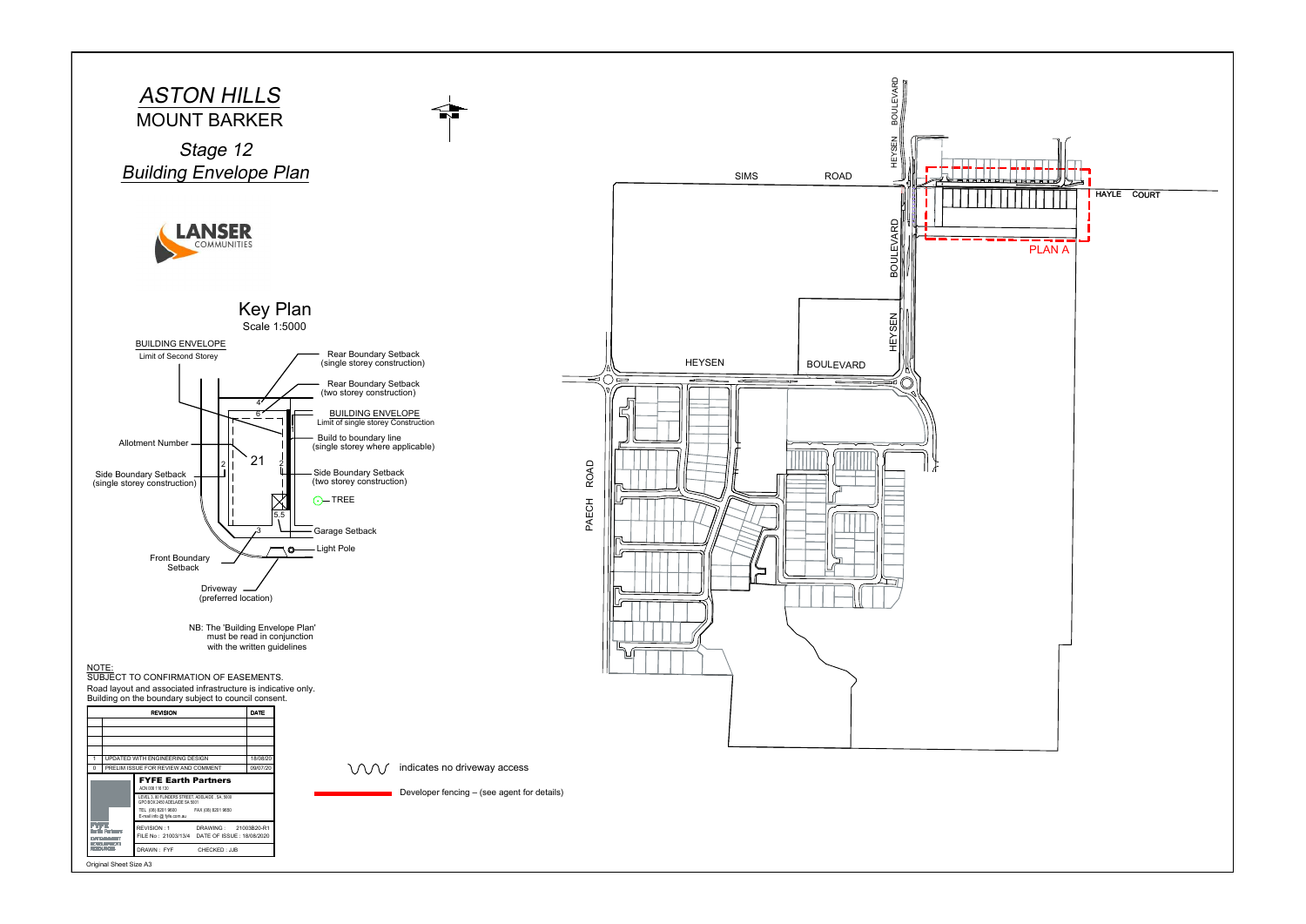